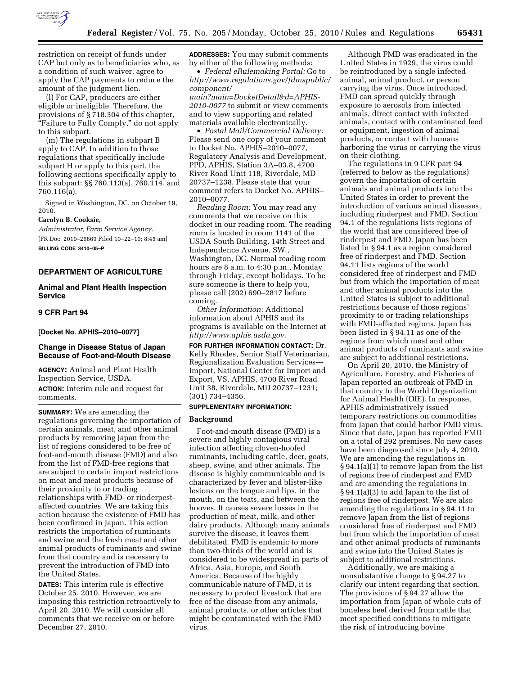

restriction on receipt of funds under CAP but only as to beneficiaries who, as a condition of such waiver, agree to apply the CAP payments to reduce the amount of the judgment lien.

(l) For CAP, producers are either eligible or ineligible. Therefore, the provisions of § 718.304 of this chapter, ''Failure to Fully Comply,'' do not apply to this subpart.

(m) The regulations in subpart B apply to CAP. In addition to those regulations that specifically include subpart H or apply to this part, the following sections specifically apply to this subpart: §§ 760.113(a), 760.114, and 760.116(a).

Signed in Washington, DC, on October 19, 2010.

## **Carolyn B. Cooksie,**

*Administrator, Farm Service Agency.*  [FR Doc. 2010–26869 Filed 10–22–10; 8:45 am] **BILLING CODE 3410–05–P** 

## **DEPARTMENT OF AGRICULTURE**

# **Animal and Plant Health Inspection Service**

## **9 CFR Part 94**

**[Docket No. APHIS–2010–0077]** 

## **Change in Disease Status of Japan Because of Foot-and-Mouth Disease**

**AGENCY:** Animal and Plant Health Inspection Service, USDA. **ACTION:** Interim rule and request for comments.

**SUMMARY:** We are amending the regulations governing the importation of certain animals, meat, and other animal products by removing Japan from the list of regions considered to be free of foot-and-mouth disease (FMD) and also from the list of FMD-free regions that are subject to certain import restrictions on meat and meat products because of their proximity to or trading relationships with FMD- or rinderpestaffected countries. We are taking this action because the existence of FMD has been confirmed in Japan. This action restricts the importation of ruminants and swine and the fresh meat and other animal products of ruminants and swine from that country and is necessary to prevent the introduction of FMD into the United States.

**DATES:** This interim rule is effective October 25, 2010. However, we are imposing this restriction retroactively to April 20, 2010. We will consider all comments that we receive on or before December 27, 2010.

**ADDRESSES:** You may submit comments by either of the following methods:

• *Federal eRulemaking Portal:* Go to *[http://www.regulations.gov/fdmspublic/](http://www.regulations.gov/fdmspublic/component/main?main=DocketDetail&d=APHIS-2010-0077) [component/](http://www.regulations.gov/fdmspublic/component/main?main=DocketDetail&d=APHIS-2010-0077)* 

*[main?main=DocketDetail&d=APHIS-](http://www.regulations.gov/fdmspublic/component/main?main=DocketDetail&d=APHIS-2010-0077)[2010-0077](http://www.regulations.gov/fdmspublic/component/main?main=DocketDetail&d=APHIS-2010-0077)* to submit or view comments and to view supporting and related materials available electronically.

• *Postal Mail/Commercial Delivery:*  Please send one copy of your comment to Docket No. APHIS–2010–0077, Regulatory Analysis and Development, PPD, APHIS, Station 3A–03.8, 4700 River Road Unit 118, Riverdale, MD 20737–1238. Please state that your comment refers to Docket No. APHIS– 2010–0077.

*Reading Room:* You may read any comments that we receive on this docket in our reading room. The reading room is located in room 1141 of the USDA South Building, 14th Street and Independence Avenue, SW., Washington, DC. Normal reading room hours are 8 a.m. to 4:30 p.m., Monday through Friday, except holidays. To be sure someone is there to help you, please call (202) 690–2817 before coming.

*Other Information:* Additional information about APHIS and its programs is available on the Internet at *[http://www.aphis.usda.gov.](http://www.aphis.usda.gov)* 

**FOR FURTHER INFORMATION CONTACT:** Dr. Kelly Rhodes, Senior Staff Veterinarian, Regionalization Evaluation Services— Import, National Center for Import and Export, VS, APHIS, 4700 River Road Unit 38, Riverdale, MD 20737–1231; (301) 734–4356.

### **SUPPLEMENTARY INFORMATION:**

#### **Background**

Foot-and-mouth disease (FMD) is a severe and highly contagious viral infection affecting cloven-hoofed ruminants, including cattle, deer, goats, sheep, swine, and other animals. The disease is highly communicable and is characterized by fever and blister-like lesions on the tongue and lips, in the mouth, on the teats, and between the hooves. It causes severe losses in the production of meat, milk, and other dairy products. Although many animals survive the disease, it leaves them debilitated. FMD is endemic to more than two-thirds of the world and is considered to be widespread in parts of Africa, Asia, Europe, and South America. Because of the highly communicable nature of FMD, it is necessary to protect livestock that are free of the disease from any animals, animal products, or other articles that might be contaminated with the FMD virus.

Although FMD was eradicated in the United States in 1929, the virus could be reintroduced by a single infected animal, animal product, or person carrying the virus. Once introduced, FMD can spread quickly through exposure to aerosols from infected animals, direct contact with infected animals, contact with contaminated feed or equipment, ingestion of animal products, or contact with humans harboring the virus or carrying the virus on their clothing.

The regulations in 9 CFR part 94 (referred to below as the regulations) govern the importation of certain animals and animal products into the United States in order to prevent the introduction of various animal diseases, including rinderpest and FMD. Section 94.1 of the regulations lists regions of the world that are considered free of rinderpest and FMD. Japan has been listed in § 94.1 as a region considered free of rinderpest and FMD. Section 94.11 lists regions of the world considered free of rinderpest and FMD but from which the importation of meat and other animal products into the United States is subject to additional restrictions because of those regions' proximity to or trading relationships with FMD-affected regions. Japan has been listed in § 94.11 as one of the regions from which meat and other animal products of ruminants and swine are subject to additional restrictions.

On April 20, 2010, the Ministry of Agriculture, Forestry, and Fisheries of Japan reported an outbreak of FMD in that country to the World Organization for Animal Health (OIE). In response, APHIS administratively issued temporary restrictions on commodities from Japan that could harbor FMD virus. Since that date, Japan has reported FMD on a total of 292 premises. No new cases have been diagnosed since July 4, 2010. We are amending the regulations in § 94.1(a)(1) to remove Japan from the list of regions free of rinderpest and FMD and are amending the regulations in § 94.1(a)(3) to add Japan to the list of regions free of rinderpest. We are also amending the regulations in § 94.11 to remove Japan from the list of regions considered free of rinderpest and FMD but from which the importation of meat and other animal products of ruminants and swine into the United States is subject to additional restrictions.

Additionally, we are making a nonsubstantive change to § 94.27 to clarify our intent regarding that section. The provisions of § 94.27 allow the importation from Japan of whole cuts of boneless beef derived from cattle that meet specified conditions to mitigate the risk of introducing bovine